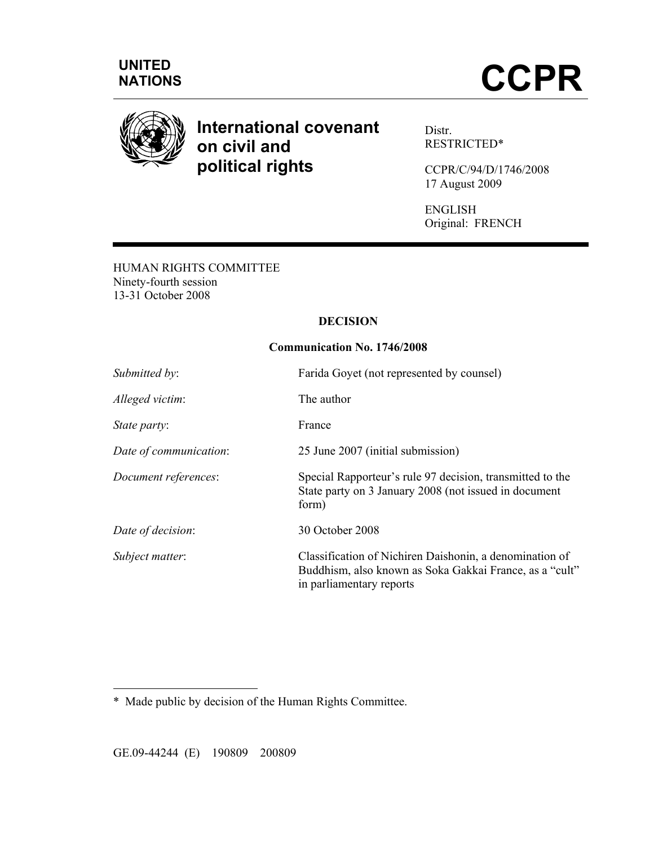

# **International covenant on civil and political rights**

Distr. RESTRICTED\*

CCPR/C/94/D/1746/2008 17 August 2009

ENGLISH Original: FRENCH

HUMAN RIGHTS COMMITTEE Ninety-fourth session 13-31 October 2008

## **DECISION**

## **Communication No. 1746/2008**

| Submitted by:          | Farida Goyet (not represented by counsel)                                                                                                      |  |
|------------------------|------------------------------------------------------------------------------------------------------------------------------------------------|--|
| Alleged victim:        | The author                                                                                                                                     |  |
| State party:           | France                                                                                                                                         |  |
| Date of communication: | 25 June 2007 (initial submission)                                                                                                              |  |
| Document references:   | Special Rapporteur's rule 97 decision, transmitted to the<br>State party on 3 January 2008 (not issued in document<br>form)                    |  |
| Date of decision:      | 30 October 2008                                                                                                                                |  |
| Subject matter:        | Classification of Nichiren Daishonin, a denomination of<br>Buddhism, also known as Soka Gakkai France, as a "cult"<br>in parliamentary reports |  |

\* Made public by decision of the Human Rights Committee.

 $\overline{a}$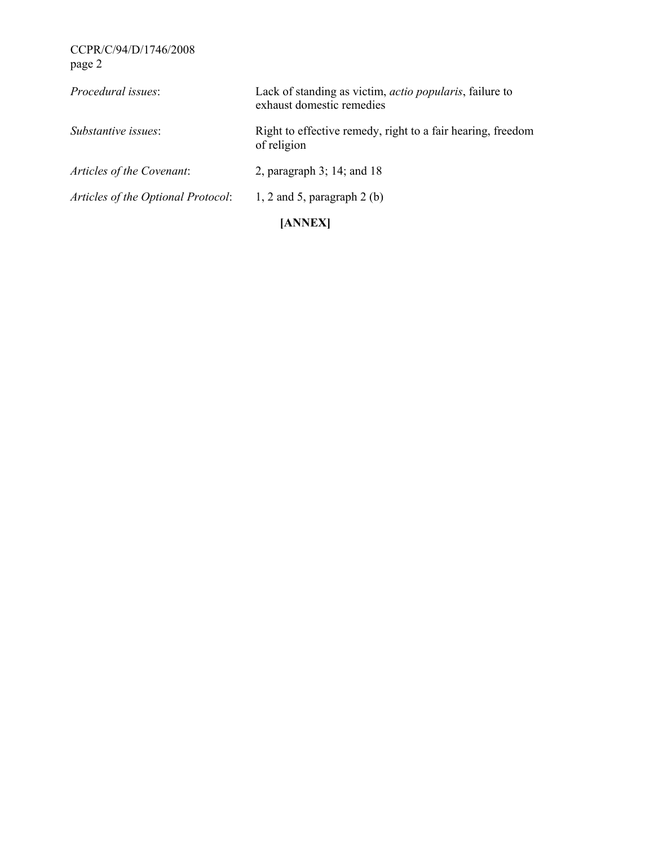| <i>Procedural issues:</i>          | Lack of standing as victim, <i>actio popularis</i> , failure to<br>exhaust domestic remedies |
|------------------------------------|----------------------------------------------------------------------------------------------|
| Substantive issues:                | Right to effective remedy, right to a fair hearing, freedom<br>of religion                   |
| Articles of the Covenant:          | 2, paragraph 3; 14; and 18                                                                   |
| Articles of the Optional Protocol: | 1, 2 and 5, paragraph $2$ (b)                                                                |
|                                    | [ANNEX]                                                                                      |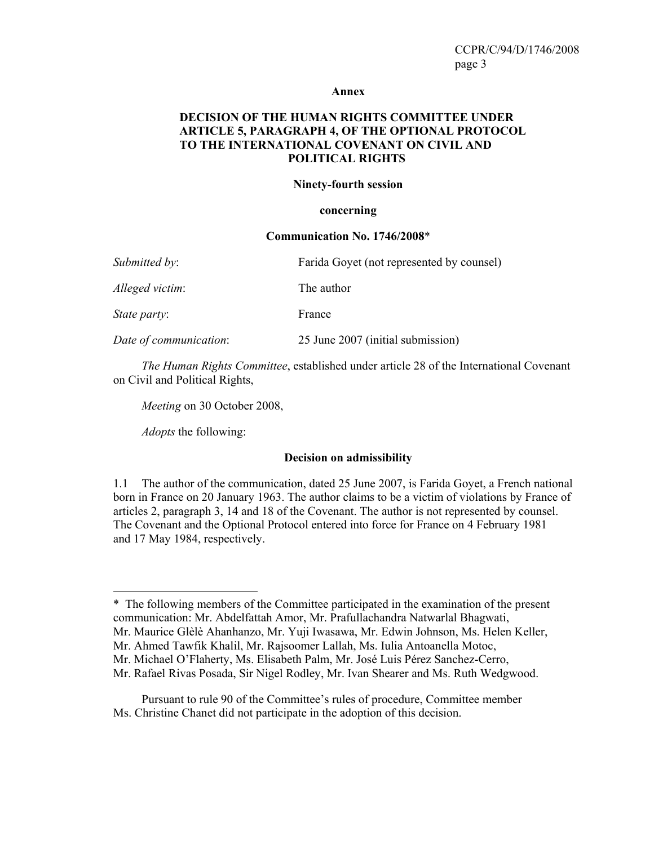#### **Annex**

## **DECISION OF THE HUMAN RIGHTS COMMITTEE UNDER ARTICLE 5, PARAGRAPH 4, OF THE OPTIONAL PROTOCOL TO THE INTERNATIONAL COVENANT ON CIVIL AND POLITICAL RIGHTS**

#### **Ninety-fourth session**

#### **concerning**

#### **Communication No. 1746/2008**\*

| Submitted by:          | Farida Goyet (not represented by counsel) |
|------------------------|-------------------------------------------|
| Alleged victim:        | The author                                |
| <i>State party:</i>    | France                                    |
| Date of communication: | 25 June 2007 (initial submission)         |

 *The Human Rights Committee*, established under article 28 of the International Covenant on Civil and Political Rights,

 *Meeting* on 30 October 2008,

 *Adopts* the following:

 $\overline{a}$ 

#### **Decision on admissibility**

1.1 The author of the communication, dated 25 June 2007, is Farida Goyet, a French national born in France on 20 January 1963. The author claims to be a victim of violations by France of articles 2, paragraph 3, 14 and 18 of the Covenant. The author is not represented by counsel. The Covenant and the Optional Protocol entered into force for France on 4 February 1981 and 17 May 1984, respectively.

<sup>\*</sup> The following members of the Committee participated in the examination of the present communication: Mr. Abdelfattah Amor, Mr. Prafullachandra Natwarlal Bhagwati, Mr. Maurice Glèlè Ahanhanzo, Mr. Yuji Iwasawa, Mr. Edwin Johnson, Ms. Helen Keller,

Mr. Ahmed Tawfik Khalil, Mr. Rajsoomer Lallah, Ms. Iulia Antoanella Motoc,

Mr. Michael O'Flaherty, Ms. Elisabeth Palm, Mr. José Luis Pérez Sanchez-Cerro,

Mr. Rafael Rivas Posada, Sir Nigel Rodley, Mr. Ivan Shearer and Ms. Ruth Wedgwood.

Pursuant to rule 90 of the Committee's rules of procedure, Committee member Ms. Christine Chanet did not participate in the adoption of this decision.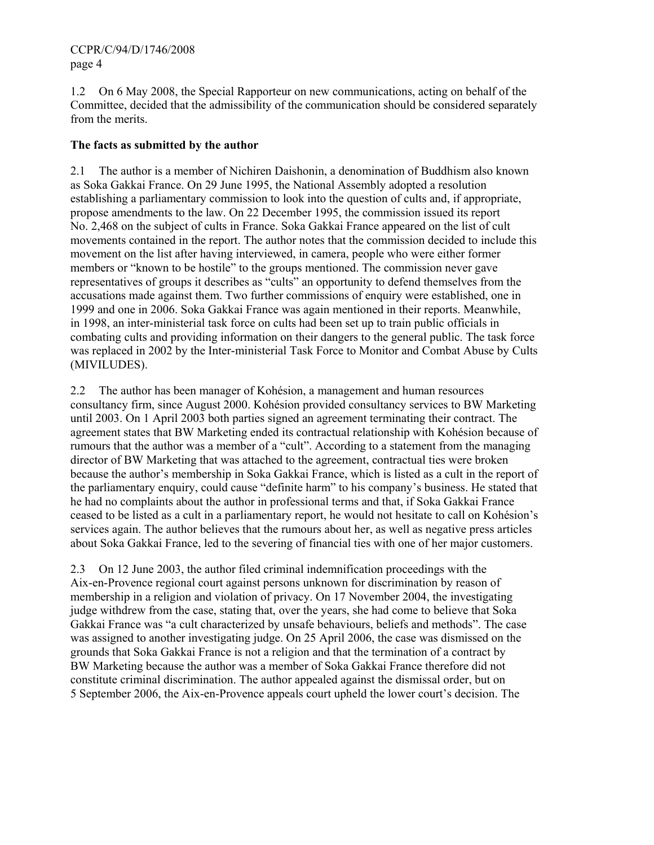1.2 On 6 May 2008, the Special Rapporteur on new communications, acting on behalf of the Committee, decided that the admissibility of the communication should be considered separately from the merits.

# **The facts as submitted by the author**

2.1 The author is a member of Nichiren Daishonin, a denomination of Buddhism also known as Soka Gakkai France. On 29 June 1995, the National Assembly adopted a resolution establishing a parliamentary commission to look into the question of cults and, if appropriate, propose amendments to the law. On 22 December 1995, the commission issued its report No. 2,468 on the subject of cults in France. Soka Gakkai France appeared on the list of cult movements contained in the report. The author notes that the commission decided to include this movement on the list after having interviewed, in camera, people who were either former members or "known to be hostile" to the groups mentioned. The commission never gave representatives of groups it describes as "cults" an opportunity to defend themselves from the accusations made against them. Two further commissions of enquiry were established, one in 1999 and one in 2006. Soka Gakkai France was again mentioned in their reports. Meanwhile, in 1998, an inter-ministerial task force on cults had been set up to train public officials in combating cults and providing information on their dangers to the general public. The task force was replaced in 2002 by the Inter-ministerial Task Force to Monitor and Combat Abuse by Cults (MIVILUDES).

2.2 The author has been manager of Kohésion, a management and human resources consultancy firm, since August 2000. Kohésion provided consultancy services to BW Marketing until 2003. On 1 April 2003 both parties signed an agreement terminating their contract. The agreement states that BW Marketing ended its contractual relationship with Kohésion because of rumours that the author was a member of a "cult". According to a statement from the managing director of BW Marketing that was attached to the agreement, contractual ties were broken because the author's membership in Soka Gakkai France, which is listed as a cult in the report of the parliamentary enquiry, could cause "definite harm" to his company's business. He stated that he had no complaints about the author in professional terms and that, if Soka Gakkai France ceased to be listed as a cult in a parliamentary report, he would not hesitate to call on Kohésion's services again. The author believes that the rumours about her, as well as negative press articles about Soka Gakkai France, led to the severing of financial ties with one of her major customers.

2.3 On 12 June 2003, the author filed criminal indemnification proceedings with the Aix-en-Provence regional court against persons unknown for discrimination by reason of membership in a religion and violation of privacy. On 17 November 2004, the investigating judge withdrew from the case, stating that, over the years, she had come to believe that Soka Gakkai France was "a cult characterized by unsafe behaviours, beliefs and methods". The case was assigned to another investigating judge. On 25 April 2006, the case was dismissed on the grounds that Soka Gakkai France is not a religion and that the termination of a contract by BW Marketing because the author was a member of Soka Gakkai France therefore did not constitute criminal discrimination. The author appealed against the dismissal order, but on 5 September 2006, the Aix-en-Provence appeals court upheld the lower court's decision. The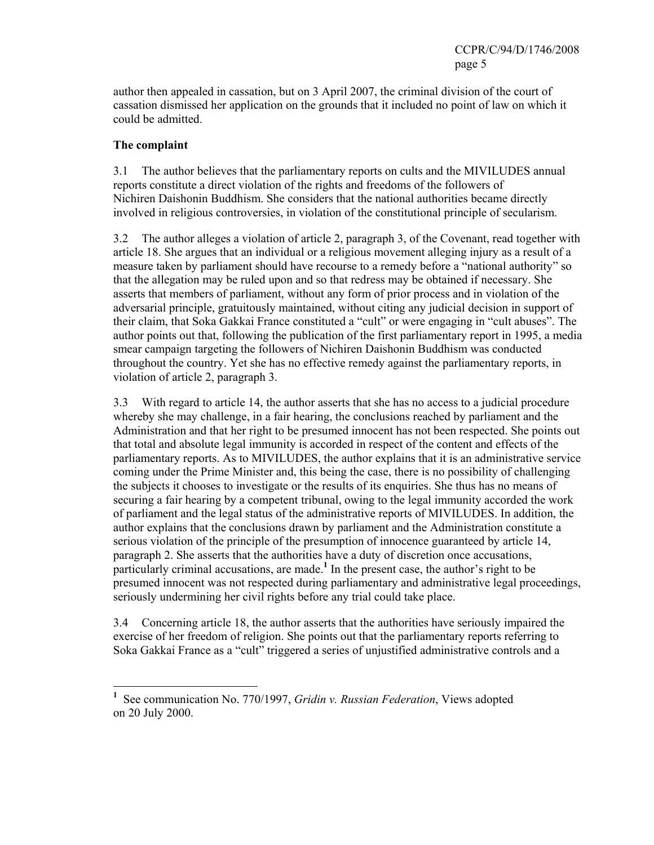author then appealed in cassation, but on 3 April 2007, the criminal division of the court of cassation dismissed her application on the grounds that it included no point of law on which it could be admitted.

## **The complaint**

 $\overline{a}$ 

3.1 The author believes that the parliamentary reports on cults and the MIVILUDES annual reports constitute a direct violation of the rights and freedoms of the followers of Nichiren Daishonin Buddhism. She considers that the national authorities became directly involved in religious controversies, in violation of the constitutional principle of secularism.

3.2 The author alleges a violation of article 2, paragraph 3, of the Covenant, read together with article 18. She argues that an individual or a religious movement alleging injury as a result of a measure taken by parliament should have recourse to a remedy before a "national authority" so that the allegation may be ruled upon and so that redress may be obtained if necessary. She asserts that members of parliament, without any form of prior process and in violation of the adversarial principle, gratuitously maintained, without citing any judicial decision in support of their claim, that Soka Gakkai France constituted a "cult" or were engaging in "cult abuses". The author points out that, following the publication of the first parliamentary report in 1995, a media smear campaign targeting the followers of Nichiren Daishonin Buddhism was conducted throughout the country. Yet she has no effective remedy against the parliamentary reports, in violation of article 2, paragraph 3.

3.3 With regard to article 14, the author asserts that she has no access to a judicial procedure whereby she may challenge, in a fair hearing, the conclusions reached by parliament and the Administration and that her right to be presumed innocent has not been respected. She points out that total and absolute legal immunity is accorded in respect of the content and effects of the parliamentary reports. As to MIVILUDES, the author explains that it is an administrative service coming under the Prime Minister and, this being the case, there is no possibility of challenging the subjects it chooses to investigate or the results of its enquiries. She thus has no means of securing a fair hearing by a competent tribunal, owing to the legal immunity accorded the work of parliament and the legal status of the administrative reports of MIVILUDES. In addition, the author explains that the conclusions drawn by parliament and the Administration constitute a serious violation of the principle of the presumption of innocence guaranteed by article 14, paragraph 2. She asserts that the authorities have a duty of discretion once accusations, particularly criminal accusations, are made.<sup>1</sup> In the present case, the author's right to be presumed innocent was not respected during parliamentary and administrative legal proceedings, seriously undermining her civil rights before any trial could take place.

3.4 Concerning article 18, the author asserts that the authorities have seriously impaired the exercise of her freedom of religion. She points out that the parliamentary reports referring to Soka Gakkai France as a "cult" triggered a series of unjustified administrative controls and a

**<sup>1</sup>** See communication No. 770/1997, *Gridin v. Russian Federation*, Views adopted on 20 July 2000.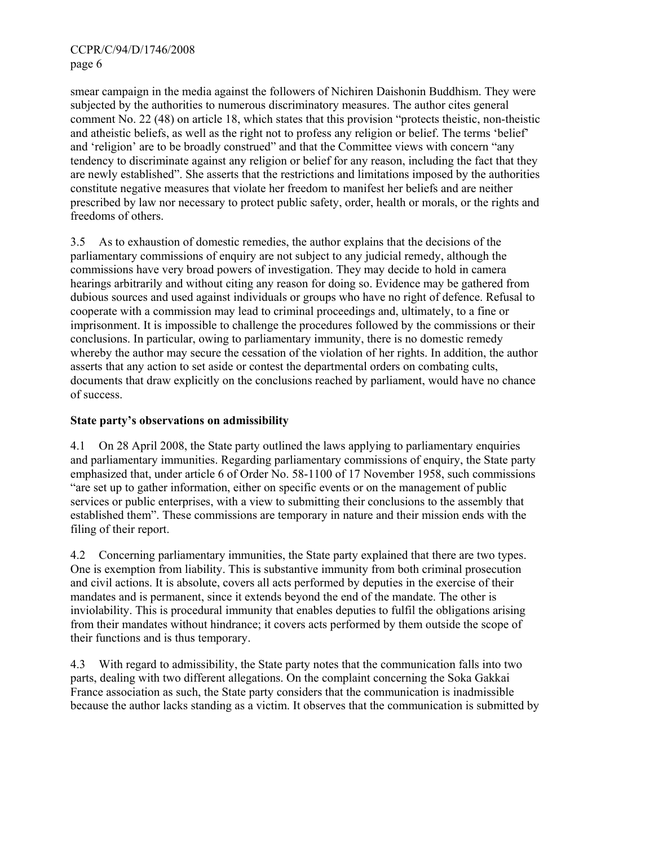smear campaign in the media against the followers of Nichiren Daishonin Buddhism. They were subjected by the authorities to numerous discriminatory measures. The author cites general comment No. 22 (48) on article 18, which states that this provision "protects theistic, non-theistic and atheistic beliefs, as well as the right not to profess any religion or belief. The terms 'belief' and 'religion' are to be broadly construed" and that the Committee views with concern "any tendency to discriminate against any religion or belief for any reason, including the fact that they are newly established". She asserts that the restrictions and limitations imposed by the authorities constitute negative measures that violate her freedom to manifest her beliefs and are neither prescribed by law nor necessary to protect public safety, order, health or morals, or the rights and freedoms of others.

3.5 As to exhaustion of domestic remedies, the author explains that the decisions of the parliamentary commissions of enquiry are not subject to any judicial remedy, although the commissions have very broad powers of investigation. They may decide to hold in camera hearings arbitrarily and without citing any reason for doing so. Evidence may be gathered from dubious sources and used against individuals or groups who have no right of defence. Refusal to cooperate with a commission may lead to criminal proceedings and, ultimately, to a fine or imprisonment. It is impossible to challenge the procedures followed by the commissions or their conclusions. In particular, owing to parliamentary immunity, there is no domestic remedy whereby the author may secure the cessation of the violation of her rights. In addition, the author asserts that any action to set aside or contest the departmental orders on combating cults, documents that draw explicitly on the conclusions reached by parliament, would have no chance of success.

# **State party's observations on admissibility**

4.1 On 28 April 2008, the State party outlined the laws applying to parliamentary enquiries and parliamentary immunities. Regarding parliamentary commissions of enquiry, the State party emphasized that, under article 6 of Order No. 58-1100 of 17 November 1958, such commissions "are set up to gather information, either on specific events or on the management of public services or public enterprises, with a view to submitting their conclusions to the assembly that established them". These commissions are temporary in nature and their mission ends with the filing of their report.

4.2 Concerning parliamentary immunities, the State party explained that there are two types. One is exemption from liability. This is substantive immunity from both criminal prosecution and civil actions. It is absolute, covers all acts performed by deputies in the exercise of their mandates and is permanent, since it extends beyond the end of the mandate. The other is inviolability. This is procedural immunity that enables deputies to fulfil the obligations arising from their mandates without hindrance; it covers acts performed by them outside the scope of their functions and is thus temporary.

4.3 With regard to admissibility, the State party notes that the communication falls into two parts, dealing with two different allegations. On the complaint concerning the Soka Gakkai France association as such, the State party considers that the communication is inadmissible because the author lacks standing as a victim. It observes that the communication is submitted by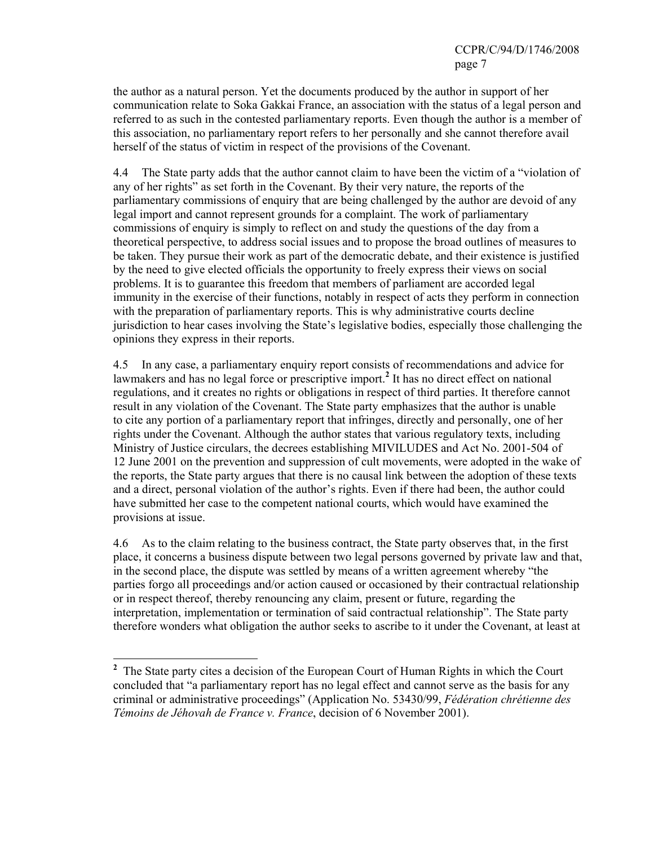the author as a natural person. Yet the documents produced by the author in support of her communication relate to Soka Gakkai France, an association with the status of a legal person and referred to as such in the contested parliamentary reports. Even though the author is a member of this association, no parliamentary report refers to her personally and she cannot therefore avail herself of the status of victim in respect of the provisions of the Covenant.

4.4 The State party adds that the author cannot claim to have been the victim of a "violation of any of her rights" as set forth in the Covenant. By their very nature, the reports of the parliamentary commissions of enquiry that are being challenged by the author are devoid of any legal import and cannot represent grounds for a complaint. The work of parliamentary commissions of enquiry is simply to reflect on and study the questions of the day from a theoretical perspective, to address social issues and to propose the broad outlines of measures to be taken. They pursue their work as part of the democratic debate, and their existence is justified by the need to give elected officials the opportunity to freely express their views on social problems. It is to guarantee this freedom that members of parliament are accorded legal immunity in the exercise of their functions, notably in respect of acts they perform in connection with the preparation of parliamentary reports. This is why administrative courts decline jurisdiction to hear cases involving the State's legislative bodies, especially those challenging the opinions they express in their reports.

4.5 In any case, a parliamentary enquiry report consists of recommendations and advice for lawmakers and has no legal force or prescriptive import.**<sup>2</sup>** It has no direct effect on national regulations, and it creates no rights or obligations in respect of third parties. It therefore cannot result in any violation of the Covenant. The State party emphasizes that the author is unable to cite any portion of a parliamentary report that infringes, directly and personally, one of her rights under the Covenant. Although the author states that various regulatory texts, including Ministry of Justice circulars, the decrees establishing MIVILUDES and Act No. 2001-504 of 12 June 2001 on the prevention and suppression of cult movements, were adopted in the wake of the reports, the State party argues that there is no causal link between the adoption of these texts and a direct, personal violation of the author's rights. Even if there had been, the author could have submitted her case to the competent national courts, which would have examined the provisions at issue.

4.6 As to the claim relating to the business contract, the State party observes that, in the first place, it concerns a business dispute between two legal persons governed by private law and that, in the second place, the dispute was settled by means of a written agreement whereby "the parties forgo all proceedings and/or action caused or occasioned by their contractual relationship or in respect thereof, thereby renouncing any claim, present or future, regarding the interpretation, implementation or termination of said contractual relationship". The State party therefore wonders what obligation the author seeks to ascribe to it under the Covenant, at least at

<sup>&</sup>lt;sup>2</sup> The State party cites a decision of the European Court of Human Rights in which the Court concluded that "a parliamentary report has no legal effect and cannot serve as the basis for any criminal or administrative proceedings" (Application No. 53430/99, *Fédération chrétienne des Témoins de Jéhovah de France v. France*, decision of 6 November 2001).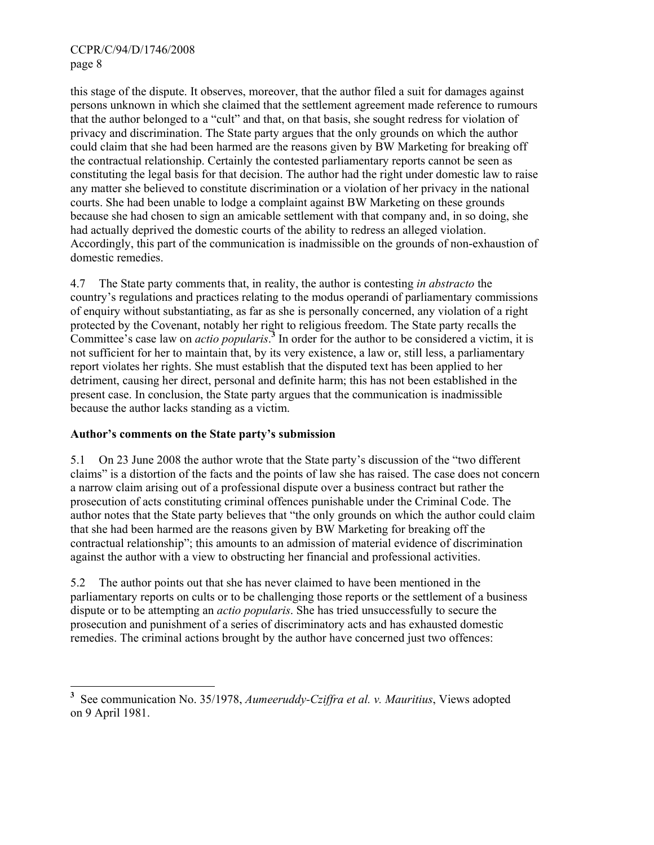this stage of the dispute. It observes, moreover, that the author filed a suit for damages against persons unknown in which she claimed that the settlement agreement made reference to rumours that the author belonged to a "cult" and that, on that basis, she sought redress for violation of privacy and discrimination. The State party argues that the only grounds on which the author could claim that she had been harmed are the reasons given by BW Marketing for breaking off the contractual relationship. Certainly the contested parliamentary reports cannot be seen as constituting the legal basis for that decision. The author had the right under domestic law to raise any matter she believed to constitute discrimination or a violation of her privacy in the national courts. She had been unable to lodge a complaint against BW Marketing on these grounds because she had chosen to sign an amicable settlement with that company and, in so doing, she had actually deprived the domestic courts of the ability to redress an alleged violation. Accordingly, this part of the communication is inadmissible on the grounds of non-exhaustion of domestic remedies.

4.7 The State party comments that, in reality, the author is contesting *in abstracto* the country's regulations and practices relating to the modus operandi of parliamentary commissions of enquiry without substantiating, as far as she is personally concerned, any violation of a right protected by the Covenant, notably her right to religious freedom. The State party recalls the Committee's case law on *actio popularis*.<sup>3</sup> In order for the author to be considered a victim, it is not sufficient for her to maintain that, by its very existence, a law or, still less, a parliamentary report violates her rights. She must establish that the disputed text has been applied to her detriment, causing her direct, personal and definite harm; this has not been established in the present case. In conclusion, the State party argues that the communication is inadmissible because the author lacks standing as a victim.

## **Author's comments on the State party's submission**

 $\overline{a}$ 

5.1 On 23 June 2008 the author wrote that the State party's discussion of the "two different claims" is a distortion of the facts and the points of law she has raised. The case does not concern a narrow claim arising out of a professional dispute over a business contract but rather the prosecution of acts constituting criminal offences punishable under the Criminal Code. The author notes that the State party believes that "the only grounds on which the author could claim that she had been harmed are the reasons given by BW Marketing for breaking off the contractual relationship"; this amounts to an admission of material evidence of discrimination against the author with a view to obstructing her financial and professional activities.

5.2 The author points out that she has never claimed to have been mentioned in the parliamentary reports on cults or to be challenging those reports or the settlement of a business dispute or to be attempting an *actio popularis*. She has tried unsuccessfully to secure the prosecution and punishment of a series of discriminatory acts and has exhausted domestic remedies. The criminal actions brought by the author have concerned just two offences:

**<sup>3</sup>** See communication No. 35/1978, *Aumeeruddy-Cziffra et al. v. Mauritius*, Views adopted on 9 April 1981.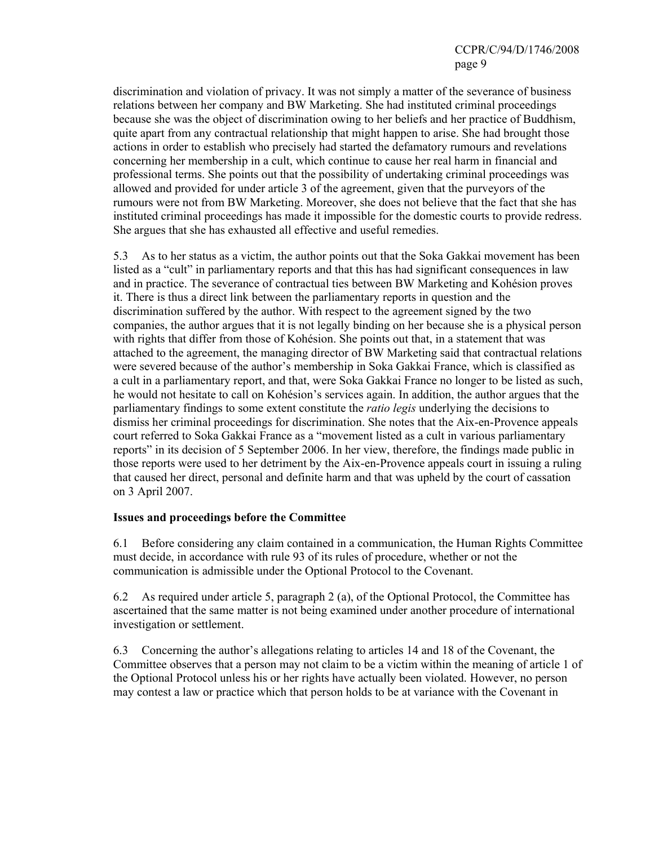discrimination and violation of privacy. It was not simply a matter of the severance of business relations between her company and BW Marketing. She had instituted criminal proceedings because she was the object of discrimination owing to her beliefs and her practice of Buddhism, quite apart from any contractual relationship that might happen to arise. She had brought those actions in order to establish who precisely had started the defamatory rumours and revelations concerning her membership in a cult, which continue to cause her real harm in financial and professional terms. She points out that the possibility of undertaking criminal proceedings was allowed and provided for under article 3 of the agreement, given that the purveyors of the rumours were not from BW Marketing. Moreover, she does not believe that the fact that she has instituted criminal proceedings has made it impossible for the domestic courts to provide redress. She argues that she has exhausted all effective and useful remedies.

5.3 As to her status as a victim, the author points out that the Soka Gakkai movement has been listed as a "cult" in parliamentary reports and that this has had significant consequences in law and in practice. The severance of contractual ties between BW Marketing and Kohésion proves it. There is thus a direct link between the parliamentary reports in question and the discrimination suffered by the author. With respect to the agreement signed by the two companies, the author argues that it is not legally binding on her because she is a physical person with rights that differ from those of Kohésion. She points out that, in a statement that was attached to the agreement, the managing director of BW Marketing said that contractual relations were severed because of the author's membership in Soka Gakkai France, which is classified as a cult in a parliamentary report, and that, were Soka Gakkai France no longer to be listed as such, he would not hesitate to call on Kohésion's services again. In addition, the author argues that the parliamentary findings to some extent constitute the *ratio legis* underlying the decisions to dismiss her criminal proceedings for discrimination. She notes that the Aix-en-Provence appeals court referred to Soka Gakkai France as a "movement listed as a cult in various parliamentary reports" in its decision of 5 September 2006. In her view, therefore, the findings made public in those reports were used to her detriment by the Aix-en-Provence appeals court in issuing a ruling that caused her direct, personal and definite harm and that was upheld by the court of cassation on 3 April 2007.

## **Issues and proceedings before the Committee**

6.1 Before considering any claim contained in a communication, the Human Rights Committee must decide, in accordance with rule 93 of its rules of procedure, whether or not the communication is admissible under the Optional Protocol to the Covenant.

6.2 As required under article 5, paragraph 2 (a), of the Optional Protocol, the Committee has ascertained that the same matter is not being examined under another procedure of international investigation or settlement.

6.3 Concerning the author's allegations relating to articles 14 and 18 of the Covenant, the Committee observes that a person may not claim to be a victim within the meaning of article 1 of the Optional Protocol unless his or her rights have actually been violated. However, no person may contest a law or practice which that person holds to be at variance with the Covenant in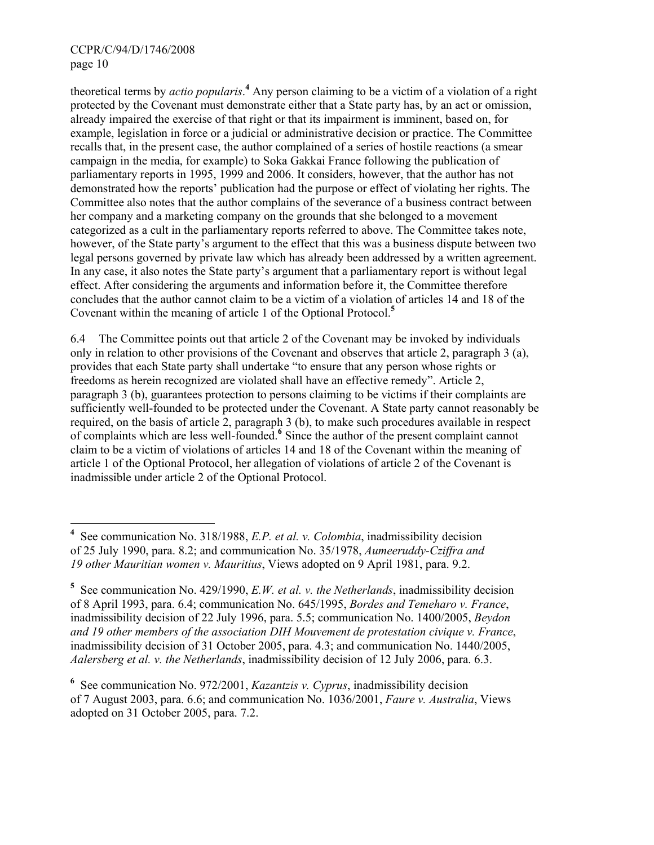theoretical terms by *actio popularis*.<sup>4</sup> Any person claiming to be a victim of a violation of a right protected by the Covenant must demonstrate either that a State party has, by an act or omission, already impaired the exercise of that right or that its impairment is imminent, based on, for example, legislation in force or a judicial or administrative decision or practice. The Committee recalls that, in the present case, the author complained of a series of hostile reactions (a smear campaign in the media, for example) to Soka Gakkai France following the publication of parliamentary reports in 1995, 1999 and 2006. It considers, however, that the author has not demonstrated how the reports' publication had the purpose or effect of violating her rights. The Committee also notes that the author complains of the severance of a business contract between her company and a marketing company on the grounds that she belonged to a movement categorized as a cult in the parliamentary reports referred to above. The Committee takes note, however, of the State party's argument to the effect that this was a business dispute between two legal persons governed by private law which has already been addressed by a written agreement. In any case, it also notes the State party's argument that a parliamentary report is without legal effect. After considering the arguments and information before it, the Committee therefore concludes that the author cannot claim to be a victim of a violation of articles 14 and 18 of the Covenant within the meaning of article 1 of the Optional Protocol.**<sup>5</sup>**

6.4 The Committee points out that article 2 of the Covenant may be invoked by individuals only in relation to other provisions of the Covenant and observes that article 2, paragraph 3 (a), provides that each State party shall undertake "to ensure that any person whose rights or freedoms as herein recognized are violated shall have an effective remedy". Article 2, paragraph 3 (b), guarantees protection to persons claiming to be victims if their complaints are sufficiently well-founded to be protected under the Covenant. A State party cannot reasonably be required, on the basis of article 2, paragraph 3 (b), to make such procedures available in respect of complaints which are less well-founded.**<sup>6</sup>** Since the author of the present complaint cannot claim to be a victim of violations of articles 14 and 18 of the Covenant within the meaning of article 1 of the Optional Protocol, her allegation of violations of article 2 of the Covenant is inadmissible under article 2 of the Optional Protocol.

 **4** See communication No. 318/1988, *E.P. et al. v. Colombia*, inadmissibility decision of 25 July 1990, para. 8.2; and communication No. 35/1978, *Aumeeruddy-Cziffra and 19 other Mauritian women v. Mauritius*, Views adopted on 9 April 1981, para. 9.2.

**<sup>5</sup>** See communication No. 429/1990, *E.W. et al. v. the Netherlands*, inadmissibility decision of 8 April 1993, para. 6.4; communication No. 645/1995, *Bordes and Temeharo v. France*, inadmissibility decision of 22 July 1996, para. 5.5; communication No. 1400/2005, *Beydon and 19 other members of the association DIH Mouvement de protestation civique v. France*, inadmissibility decision of 31 October 2005, para. 4.3; and communication No. 1440/2005, *Aalersberg et al. v. the Netherlands*, inadmissibility decision of 12 July 2006, para. 6.3.

**<sup>6</sup>** See communication No. 972/2001, *Kazantzis v. Cyprus*, inadmissibility decision of 7 August 2003, para. 6.6; and communication No. 1036/2001, *Faure v. Australia*, Views adopted on 31 October 2005, para. 7.2.